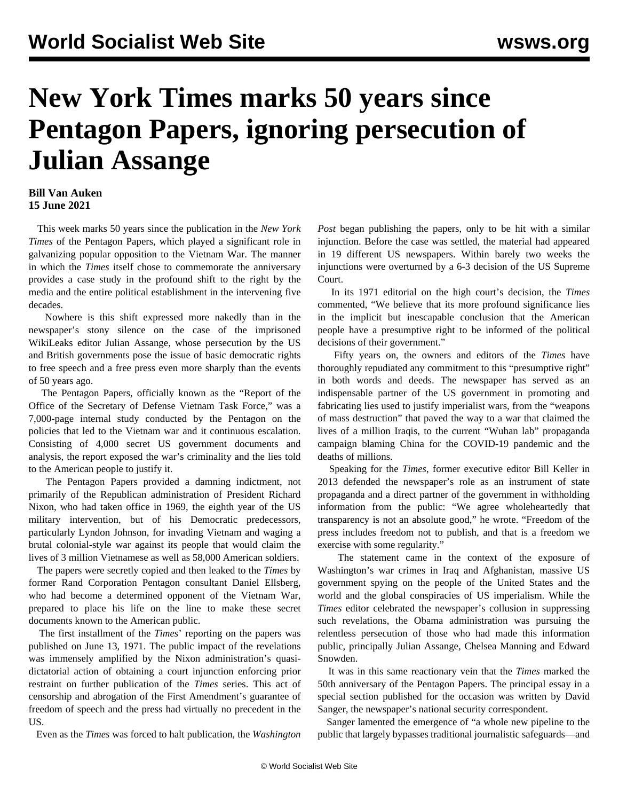## **New York Times marks 50 years since Pentagon Papers, ignoring persecution of Julian Assange**

## **Bill Van Auken 15 June 2021**

 This week marks 50 years since the publication in the *New York Times* of the Pentagon Papers, which played a significant role in galvanizing popular opposition to the Vietnam War. The manner in which the *Times* itself chose to commemorate the anniversary provides a case study in the profound shift to the right by the media and the entire political establishment in the intervening five decades.

 Nowhere is this shift expressed more nakedly than in the newspaper's stony silence on the case of the imprisoned WikiLeaks editor Julian Assange, whose persecution by the US and British governments pose the issue of basic democratic rights to free speech and a free press even more sharply than the events of 50 years ago.

 The Pentagon Papers, officially known as the "Report of the Office of the Secretary of Defense Vietnam Task Force," was a 7,000-page internal study conducted by the Pentagon on the policies that led to the Vietnam war and it continuous escalation. Consisting of 4,000 secret US government documents and analysis, the report exposed the war's criminality and the lies told to the American people to justify it.

 The Pentagon Papers provided a damning indictment, not primarily of the Republican administration of President Richard Nixon, who had taken office in 1969, the eighth year of the US military intervention, but of his Democratic predecessors, particularly Lyndon Johnson, for invading Vietnam and waging a brutal colonial-style war against its people that would claim the lives of 3 million Vietnamese as well as 58,000 American soldiers.

 The papers were secretly copied and then leaked to the *Times* by former Rand Corporation Pentagon consultant Daniel Ellsberg, who had become a determined opponent of the Vietnam War, prepared to place his life on the line to make these secret documents known to the American public.

 The first installment of the *Times*' reporting on the papers was published on June 13, 1971. The public impact of the revelations was immensely amplified by the Nixon administration's quasidictatorial action of obtaining a court injunction enforcing prior restraint on further publication of the *Times* series. This act of censorship and abrogation of the First Amendment's guarantee of freedom of speech and the press had virtually no precedent in the US.

Even as the *Times* was forced to halt publication, the *Washington*

*Post* began publishing the papers, only to be hit with a similar injunction. Before the case was settled, the material had appeared in 19 different US newspapers. Within barely two weeks the injunctions were overturned by a 6-3 decision of the US Supreme Court.

 In its 1971 editorial on the high court's decision, the *Times* commented, "We believe that its more profound significance lies in the implicit but inescapable conclusion that the American people have a presumptive right to be informed of the political decisions of their government."

 Fifty years on, the owners and editors of the *Times* have thoroughly repudiated any commitment to this "presumptive right" in both words and deeds. The newspaper has served as an indispensable partner of the US government in promoting and fabricating lies used to justify imperialist wars, from the "weapons of mass destruction" that paved the way to a war that claimed the lives of a million Iraqis, to the current "Wuhan lab" propaganda campaign blaming China for the COVID-19 pandemic and the deaths of millions.

 Speaking for the *Times*, former executive editor Bill Keller in 2013 defended the newspaper's role as an instrument of state propaganda and a direct partner of the government in withholding information from the public: "We agree wholeheartedly that transparency is not an absolute good," he wrote. "Freedom of the press includes freedom not to publish, and that is a freedom we exercise with some regularity."

 The statement came in the context of the exposure of Washington's war crimes in Iraq and Afghanistan, massive US government spying on the people of the United States and the world and the global conspiracies of US imperialism. While the *Times* editor celebrated the newspaper's collusion in suppressing such revelations, the Obama administration was pursuing the relentless persecution of those who had made this information public, principally Julian Assange, Chelsea Manning and Edward Snowden.

 It was in this same reactionary vein that the *Times* marked the 50th anniversary of the Pentagon Papers. The principal essay in a special section published for the occasion was written by David Sanger, the newspaper's national security correspondent.

 Sanger lamented the emergence of "a whole new pipeline to the public that largely bypasses traditional journalistic safeguards—and